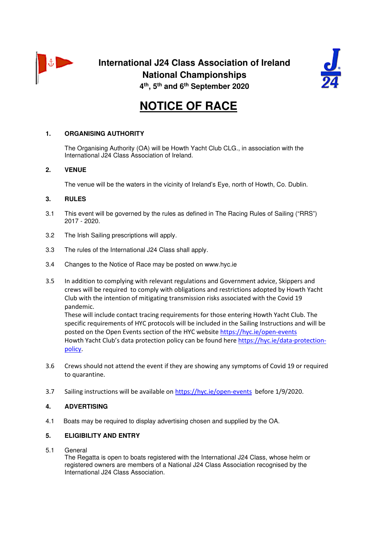



# **NOTICE OF RACE**

# **1. ORGANISING AUTHORITY**

 The Organising Authority (OA) will be Howth Yacht Club CLG., in association with the International J24 Class Association of Ireland.

# **2. VENUE**

The venue will be the waters in the vicinity of Ireland's Eye, north of Howth, Co. Dublin.

## **3. RULES**

- 3.1 This event will be governed by the rules as defined in The Racing Rules of Sailing ("RRS") 2017 - 2020.
- 3.2 The Irish Sailing prescriptions will apply.
- 3.3 The rules of the International J24 Class shall apply.
- 3.4 Changes to the Notice of Race may be posted on www.hyc.ie
- 3.5 In addition to complying with relevant regulations and Government advice, Skippers and crews will be required to comply with obligations and restrictions adopted by Howth Yacht Club with the intention of mitigating transmission risks associated with the Covid 19 pandemic.

 These will include contact tracing requirements for those entering Howth Yacht Club. The specific requirements of HYC protocols will be included in the Sailing Instructions and will be posted on the Open Events section of the HYC website https://hyc.ie/open-events Howth Yacht Club's data protection policy can be found here https://hyc.ie/data-protectionpolicy.

- 3.6 Crews should not attend the event if they are showing any symptoms of Covid 19 or required to quarantine.
- 3.7 Sailing instructions will be available on https://hyc.ie/open-events before 1/9/2020.

## **4. ADVERTISING**

4.1 Boats may be required to display advertising chosen and supplied by the OA.

# **5. ELIGIBILITY AND ENTRY**

5.1 General

 The Regatta is open to boats registered with the International J24 Class, whose helm or registered owners are members of a National J24 Class Association recognised by the International J24 Class Association.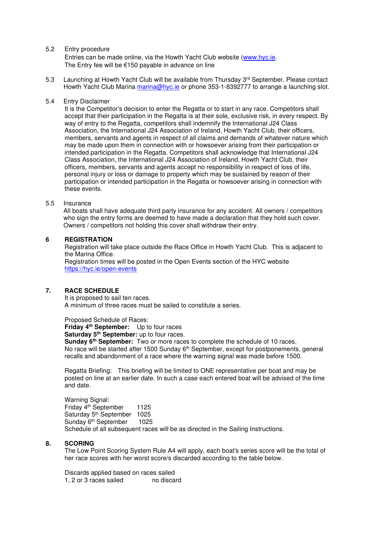#### 5.2 Entry procedure

 Entries can be made online, via the Howth Yacht Club website (www.hyc.ie. The Entry fee will be €150 payable in advance on line

5.3 Launching at Howth Yacht Club will be available from Thursday 3rd September. Please contact Howth Yacht Club Marina marina@hyc.ie or phone 353-1-8392777 to arrange a launching slot.

#### 5.4 Entry Disclaimer

 It is the Competitor's decision to enter the Regatta or to start in any race. Competitors shall accept that their participation in the Regatta is at their sole, exclusive risk, in every respect. By way of entry to the Regatta, competitors shall indemnify the International J24 Class Association, the International J24 Association of Ireland, Howth Yacht Club, their officers, members, servants and agents in respect of all claims and demands of whatever nature which may be made upon them in connection with or howsoever arising from their participation or intended participation in the Regatta. Competitors shall acknowledge that International J24 Class Association, the International J24 Association of Ireland, Howth Yacht Club, their officers, members, servants and agents accept no responsibility in respect of loss of life, personal injury or loss or damage to property which may be sustained by reason of their participation or intended participation in the Regatta or howsoever arising in connection with these events.

#### 5.5 Insurance

All boats shall have adequate third party insurance for any accident. All owners / competitors who sign the entry forms are deemed to have made a declaration that they hold such cover. Owners / competitors not holding this cover shall withdraw their entry.

## **6 REGISTRATION**

 Registration will take place outside the Race Office in Howth Yacht Club. This is adjacent to the Marina Office.

 Registration times will be posted in the Open Events section of the HYC website https://hyc.ie/open-events

#### **7. RACE SCHEDULE**

 It is proposed to sail ten races. A minimum of three races must be sailed to constitute a series.

Proposed Schedule of Races:

 **Friday 4th September:** Up to four races

 **Saturday 5th September:** up to four races.

 **Sunday 6th September:** Two or more races to complete the schedule of 10 races. No race will be started after 1500 Sunday 6<sup>th</sup> September, except for postponements, general recalls and abandonment of a race where the warning signal was made before 1500.

 Regatta Briefing: This briefing will be limited to ONE representative per boat and may be posted on line at an earlier date. In such a case each entered boat will be advised of the time and date.

Warning Signal: Friday 4th September 1125 Saturday 5<sup>th</sup> September 1025 Sunday 6<sup>th</sup> September 1025 Schedule of all subsequent races will be as directed in the Sailing Instructions.

#### **8. SCORING**

 The Low Point Scoring System Rule A4 will apply, each boat's series score will be the total of her race scores with her worst score/s discarded according to the table below.

 Discards applied based on races sailed 1, 2 or 3 races sailed no discard